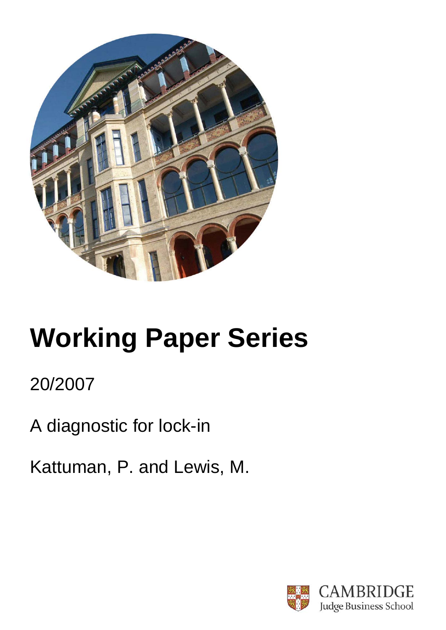

# **Working Paper Series**

# 20/2007

A diagnostic for lock-in

Kattuman, P. and Lewis, M.

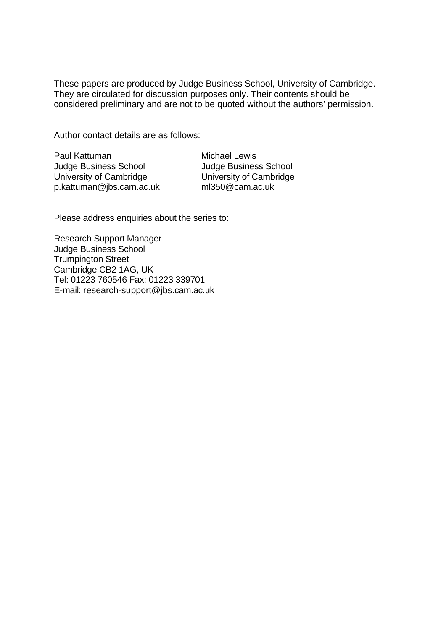These papers are produced by Judge Business School, University of Cambridge. They are circulated for discussion purposes only. Their contents should be considered preliminary and are not to be quoted without the authors' permission.

Author contact details are as follows:

Paul Kattuman Judge Business School University of Cambridge p.kattuman@jbs.cam.ac.uk

Michael Lewis Judge Business School University of Cambridge ml350@cam.ac.uk

Please address enquiries about the series to:

Research Support Manager Judge Business School Trumpington Street Cambridge CB2 1AG, UK Tel: 01223 760546 Fax: 01223 339701 E-mail: research-support@jbs.cam.ac.uk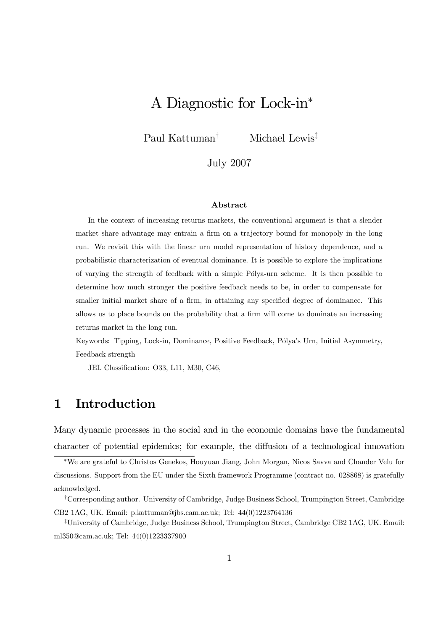# A Diagnostic for Lock-in<sup>∗</sup>

Paul Kattuman† Michael Lewis‡

July 2007

#### Abstract

In the context of increasing returns markets, the conventional argument is that a slender market share advantage may entrain a firm on a trajectory bound for monopoly in the long run. We revisit this with the linear urn model representation of history dependence, and a probabilistic characterization of eventual dominance. It is possible to explore the implications of varying the strength of feedback with a simple Pólya-urn scheme. It is then possible to determine how much stronger the positive feedback needs to be, in order to compensate for smaller initial market share of a firm, in attaining any specified degree of dominance. This allows us to place bounds on the probability that a firm will come to dominate an increasing returns market in the long run.

Keywords: Tipping, Lock-in, Dominance, Positive Feedback, Pólya's Urn, Initial Asymmetry, Feedback strength

JEL Classification: O33, L11, M30, C46,

## 1 Introduction

Many dynamic processes in the social and in the economic domains have the fundamental character of potential epidemics; for example, the diffusion of a technological innovation

<sup>∗</sup>We are grateful to Christos Genekos, Houyuan Jiang, John Morgan, Nicos Savva and Chander Velu for discussions. Support from the EU under the Sixth framework Programme (contract no. 028868) is gratefully acknowledged.

<sup>†</sup>Corresponding author. University of Cambridge, Judge Business School, Trumpington Street, Cambridge CB2 1AG, UK. Email: p.kattuman@jbs.cam.ac.uk; Tel: 44(0)1223764136

<sup>‡</sup>University of Cambridge, Judge Business School, Trumpington Street, Cambridge CB2 1AG, UK. Email: ml350@cam.ac.uk; Tel: 44(0)1223337900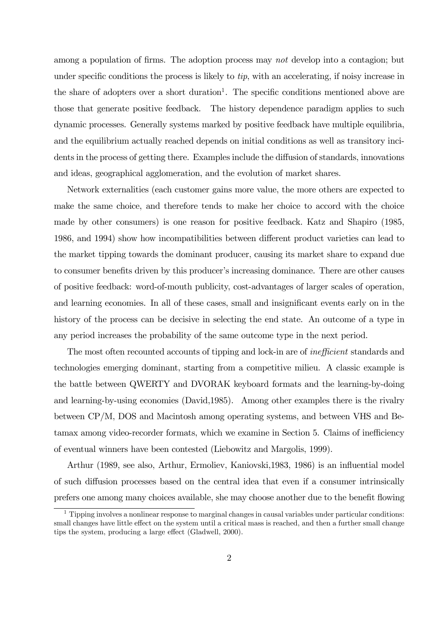among a population of firms. The adoption process may not develop into a contagion; but under specific conditions the process is likely to tip, with an accelerating, if noisy increase in the share of adopters over a short duration<sup>1</sup>. The specific conditions mentioned above are those that generate positive feedback. The history dependence paradigm applies to such dynamic processes. Generally systems marked by positive feedback have multiple equilibria, and the equilibrium actually reached depends on initial conditions as well as transitory incidents in the process of getting there. Examples include the diffusion of standards, innovations and ideas, geographical agglomeration, and the evolution of market shares.

Network externalities (each customer gains more value, the more others are expected to make the same choice, and therefore tends to make her choice to accord with the choice made by other consumers) is one reason for positive feedback. Katz and Shapiro (1985, 1986, and 1994) show how incompatibilities between different product varieties can lead to the market tipping towards the dominant producer, causing its market share to expand due to consumer benefits driven by this producer's increasing dominance. There are other causes of positive feedback: word-of-mouth publicity, cost-advantages of larger scales of operation, and learning economies. In all of these cases, small and insignificant events early on in the history of the process can be decisive in selecting the end state. An outcome of a type in any period increases the probability of the same outcome type in the next period.

The most often recounted accounts of tipping and lock-in are of inefficient standards and technologies emerging dominant, starting from a competitive milieu. A classic example is the battle between QWERTY and DVORAK keyboard formats and the learning-by-doing and learning-by-using economies (David,1985). Among other examples there is the rivalry between CP/M, DOS and Macintosh among operating systems, and between VHS and Betamax among video-recorder formats, which we examine in Section 5. Claims of inefficiency of eventual winners have been contested (Liebowitz and Margolis, 1999).

Arthur (1989, see also, Arthur, Ermoliev, Kaniovski,1983, 1986) is an influential model of such diffusion processes based on the central idea that even if a consumer intrinsically prefers one among many choices available, she may choose another due to the benefit flowing

 $1$  Tipping involves a nonlinear response to marginal changes in causal variables under particular conditions: small changes have little effect on the system until a critical mass is reached, and then a further small change tips the system, producing a large effect (Gladwell, 2000).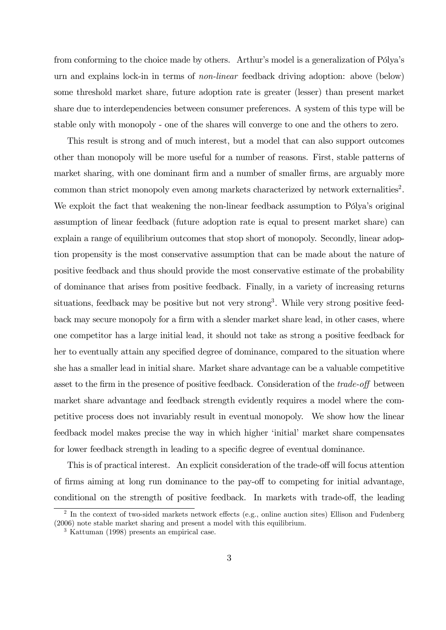from conforming to the choice made by others. Arthur's model is a generalization of Pólya's urn and explains lock-in in terms of non-linear feedback driving adoption: above (below) some threshold market share, future adoption rate is greater (lesser) than present market share due to interdependencies between consumer preferences. A system of this type will be stable only with monopoly - one of the shares will converge to one and the others to zero.

This result is strong and of much interest, but a model that can also support outcomes other than monopoly will be more useful for a number of reasons. First, stable patterns of market sharing, with one dominant firm and a number of smaller firms, are arguably more common than strict monopoly even among markets characterized by network externalities<sup>2</sup>. We exploit the fact that weakening the non-linear feedback assumption to Pólya's original assumption of linear feedback (future adoption rate is equal to present market share) can explain a range of equilibrium outcomes that stop short of monopoly. Secondly, linear adoption propensity is the most conservative assumption that can be made about the nature of positive feedback and thus should provide the most conservative estimate of the probability of dominance that arises from positive feedback. Finally, in a variety of increasing returns situations, feedback may be positive but not very strong<sup>3</sup>. While very strong positive feedback may secure monopoly for a firm with a slender market share lead, in other cases, where one competitor has a large initial lead, it should not take as strong a positive feedback for her to eventually attain any specified degree of dominance, compared to the situation where she has a smaller lead in initial share. Market share advantage can be a valuable competitive asset to the firm in the presence of positive feedback. Consideration of the *trade-off* between market share advantage and feedback strength evidently requires a model where the competitive process does not invariably result in eventual monopoly. We show how the linear feedback model makes precise the way in which higher 'initial' market share compensates for lower feedback strength in leading to a specific degree of eventual dominance.

This is of practical interest. An explicit consideration of the trade-off will focus attention of firms aiming at long run dominance to the pay-off to competing for initial advantage, conditional on the strength of positive feedback. In markets with trade-off, the leading

 $2 \text{ In the context of two-sided markets network effects (e.g., online auction sites) Ellison and Fudenberg.}$ (2006) note stable market sharing and present a model with this equilibrium.

<sup>3</sup> Kattuman (1998) presents an empirical case.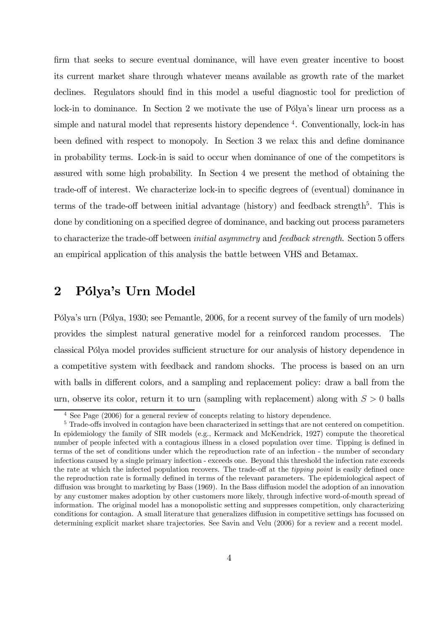firm that seeks to secure eventual dominance, will have even greater incentive to boost its current market share through whatever means available as growth rate of the market declines. Regulators should find in this model a useful diagnostic tool for prediction of lock-in to dominance. In Section 2 we motivate the use of Pólya's linear urn process as a simple and natural model that represents history dependence  $4$ . Conventionally, lock-in has been defined with respect to monopoly. In Section 3 we relax this and define dominance in probability terms. Lock-in is said to occur when dominance of one of the competitors is assured with some high probability. In Section 4 we present the method of obtaining the trade-off of interest. We characterize lock-in to specific degrees of (eventual) dominance in terms of the trade-off between initial advantage (history) and feedback strength<sup>5</sup>. This is done by conditioning on a specified degree of dominance, and backing out process parameters to characterize the trade-off between initial asymmetry and feedback strength. Section 5 offers an empirical application of this analysis the battle between VHS and Betamax.

# 2 Pólya's Urn Model

Pólya's urn (Pólya, 1930; see Pemantle, 2006, for a recent survey of the family of urn models) provides the simplest natural generative model for a reinforced random processes. The classical Pólya model provides sufficient structure for our analysis of history dependence in a competitive system with feedback and random shocks. The process is based on an urn with balls in different colors, and a sampling and replacement policy: draw a ball from the urn, observe its color, return it to urn (sampling with replacement) along with  $S > 0$  balls

<sup>&</sup>lt;sup>4</sup> See Page (2006) for a general review of concepts relating to history dependence.

<sup>&</sup>lt;sup>5</sup> Trade-offs involved in contagion have been characterized in settings that are not centered on competition. In epidemiology the family of SIR models (e.g., Kermack and McKendrick, 1927) compute the theoretical number of people infected with a contagious illness in a closed population over time. Tipping is defined in terms of the set of conditions under which the reproduction rate of an infection - the number of secondary infections caused by a single primary infection - exceeds one. Beyond this threshold the infection rate exceeds the rate at which the infected population recovers. The trade-off at the tipping point is easily defined once the reproduction rate is formally defined in terms of the relevant parameters. The epidemiological aspect of diffusion was brought to marketing by Bass (1969). In the Bass diffusion model the adoption of an innovation by any customer makes adoption by other customers more likely, through infective word-of-mouth spread of information. The original model has a monopolistic setting and suppresses competition, only characterizing conditions for contagion. A small literature that generalizes diffusion in competitive settings has focussed on determining explicit market share trajectories. See Savin and Velu (2006) for a review and a recent model.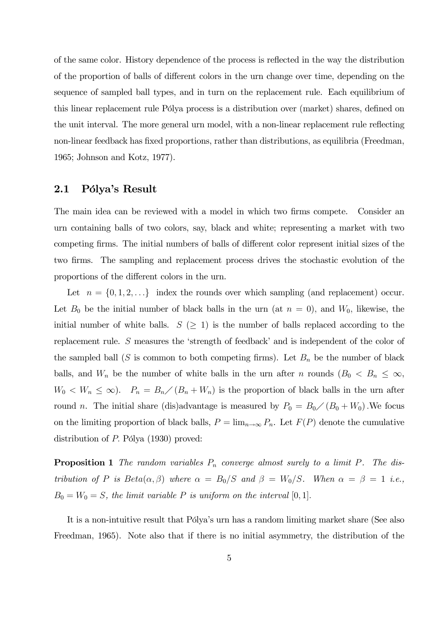of the same color. History dependence of the process is reflected in the way the distribution of the proportion of balls of different colors in the urn change over time, depending on the sequence of sampled ball types, and in turn on the replacement rule. Each equilibrium of this linear replacement rule Pólya process is a distribution over (market) shares, defined on the unit interval. The more general urn model, with a non-linear replacement rule reflecting non-linear feedback has fixed proportions, rather than distributions, as equilibria (Freedman, 1965; Johnson and Kotz, 1977).

#### 2.1 Pólya's Result

The main idea can be reviewed with a model in which two firms compete. Consider an urn containing balls of two colors, say, black and white; representing a market with two competing firms. The initial numbers of balls of different color represent initial sizes of the two firms. The sampling and replacement process drives the stochastic evolution of the proportions of the different colors in the urn.

Let  $n = \{0, 1, 2, \ldots\}$  index the rounds over which sampling (and replacement) occur. Let  $B_0$  be the initial number of black balls in the urn (at  $n = 0$ ), and  $W_0$ , likewise, the initial number of white balls.  $S \geq 1$  is the number of balls replaced according to the replacement rule. S measures the 'strength of feedback' and is independent of the color of the sampled ball (S is common to both competing firms). Let  $B_n$  be the number of black balls, and  $W_n$  be the number of white balls in the urn after n rounds  $(B_0 < B_n \leq \infty,$  $W_0 \langle W_n \leq \infty \rangle$ .  $P_n = B_n \langle (B_n + W_n) \rangle$  is the proportion of black balls in the urn after round *n*. The initial share (dis)advantage is measured by  $P_0 = B_0 / (B_0 + W_0)$ . We focus on the limiting proportion of black balls,  $P = \lim_{n\to\infty} P_n$ . Let  $F(P)$  denote the cumulative distribution of P. Pólya (1930) proved:

**Proposition 1** The random variables  $P_n$  converge almost surely to a limit P. The distribution of P is  $Beta(\alpha, \beta)$  where  $\alpha = B_0/S$  and  $\beta = W_0/S$ . When  $\alpha = \beta = 1$  i.e.,  $B_0 = W_0 = S$ , the limit variable P is uniform on the interval [0, 1].

It is a non-intuitive result that Pólya's urn has a random limiting market share (See also Freedman, 1965). Note also that if there is no initial asymmetry, the distribution of the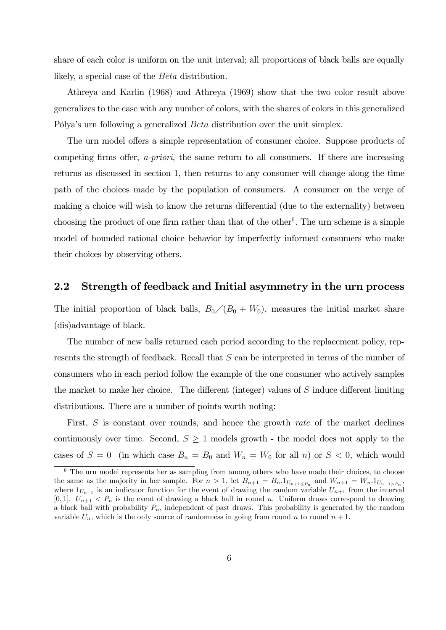share of each color is uniform on the unit interval; all proportions of black balls are equally likely, a special case of the Beta distribution.

Athreya and Karlin (1968) and Athreya (1969) show that the two color result above generalizes to the case with any number of colors, with the shares of colors in this generalized Pólya's urn following a generalized Beta distribution over the unit simplex.

The urn model offers a simple representation of consumer choice. Suppose products of competing firms offer, a-priori, the same return to all consumers. If there are increasing returns as discussed in section 1, then returns to any consumer will change along the time path of the choices made by the population of consumers. A consumer on the verge of making a choice will wish to know the returns differential (due to the externality) between choosing the product of one firm rather than that of the other<sup>6</sup>. The urn scheme is a simple model of bounded rational choice behavior by imperfectly informed consumers who make their choices by observing others.

#### 2.2 Strength of feedback and Initial asymmetry in the urn process

The initial proportion of black balls,  $B_0/(B_0 + W_0)$ , measures the initial market share (dis)advantage of black.

The number of new balls returned each period according to the replacement policy, represents the strength of feedback. Recall that S can be interpreted in terms of the number of consumers who in each period follow the example of the one consumer who actively samples the market to make her choice. The different (integer) values of S induce different limiting distributions. There are a number of points worth noting:

First, S is constant over rounds, and hence the growth rate of the market declines continuously over time. Second,  $S \geq 1$  models growth - the model does not apply to the cases of  $S = 0$  (in which case  $B_n = B_0$  and  $W_n = W_0$  for all n) or  $S < 0$ , which would

<sup>&</sup>lt;sup>6</sup> The urn model represents her as sampling from among others who have made their choices, to choose the same as the majority in her sample. For  $n > 1$ , let  $B_{n+1} = B_n \cdot 1_{U_{n+1} \leq P_n}$  and  $W_{n+1} = W_n \cdot 1_{U_{n+1} > P_n}$ , where  $1_{U_{n+1}}$  is an indicator function for the event of drawing the random variable  $U_{n+1}$  from the interval [0,1].  $U_{n+1} < P_n$  is the event of drawing a black ball in round n. Uniform draws correspond to drawing a black ball with probability  $P_n$ , independent of past draws. This probability is generated by the random variable  $U_n$ , which is the only source of randomness in going from round n to round  $n + 1$ .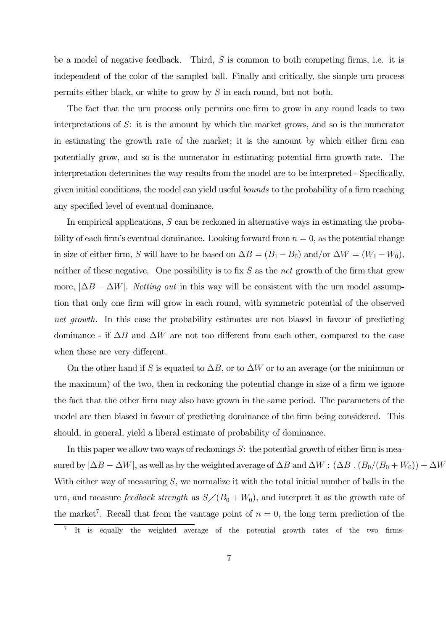be a model of negative feedback. Third, S is common to both competing firms, i.e. it is independent of the color of the sampled ball. Finally and critically, the simple urn process permits either black, or white to grow by S in each round, but not both.

The fact that the urn process only permits one firm to grow in any round leads to two interpretations of  $S$ : it is the amount by which the market grows, and so is the numerator in estimating the growth rate of the market; it is the amount by which either firm can potentially grow, and so is the numerator in estimating potential firm growth rate. The interpretation determines the way results from the model are to be interpreted - Specifically, given initial conditions, the model can yield useful bounds to the probability of a firm reaching any specified level of eventual dominance.

In empirical applications,  $S$  can be reckoned in alternative ways in estimating the probability of each firm's eventual dominance. Looking forward from  $n = 0$ , as the potential change in size of either firm, S will have to be based on  $\Delta B = (B_1 - B_0)$  and/or  $\Delta W = (W_1 - W_0)$ , neither of these negative. One possibility is to fix  $S$  as the net growth of the firm that grew more,  $|\Delta B - \Delta W|$ . *Netting out* in this way will be consistent with the urn model assumption that only one firm will grow in each round, with symmetric potential of the observed net growth. In this case the probability estimates are not biased in favour of predicting dominance - if  $\Delta B$  and  $\Delta W$  are not too different from each other, compared to the case when these are very different.

On the other hand if S is equated to  $\Delta B$ , or to  $\Delta W$  or to an average (or the minimum or the maximum) of the two, then in reckoning the potential change in size of a firm we ignore the fact that the other firm may also have grown in the same period. The parameters of the model are then biased in favour of predicting dominance of the firm being considered. This should, in general, yield a liberal estimate of probability of dominance.

In this paper we allow two ways of reckonings  $S$ : the potential growth of either firm is measured by  $|\Delta B - \Delta W|$ , as well as by the weighted average of  $\Delta B$  and  $\Delta W$  :  $(\Delta B \cdot (B_0/(B_0 + W_0)) + \Delta W$ With either way of measuring  $S$ , we normalize it with the total initial number of balls in the urn, and measure *feedback strength* as  $S/(B_0 + W_0)$ , and interpret it as the growth rate of the market<sup>7</sup>. Recall that from the vantage point of  $n = 0$ , the long term prediction of the

<sup>7</sup> It is equally the weighted average of the potential growth rates of the two firms-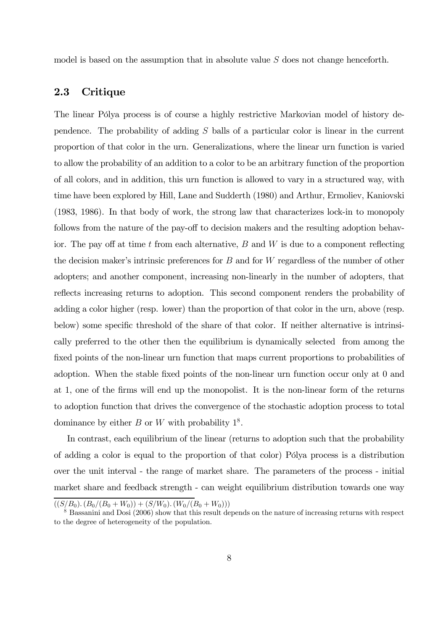model is based on the assumption that in absolute value S does not change henceforth.

#### 2.3 Critique

The linear Pólya process is of course a highly restrictive Markovian model of history dependence. The probability of adding S balls of a particular color is linear in the current proportion of that color in the urn. Generalizations, where the linear urn function is varied to allow the probability of an addition to a color to be an arbitrary function of the proportion of all colors, and in addition, this urn function is allowed to vary in a structured way, with time have been explored by Hill, Lane and Sudderth (1980) and Arthur, Ermoliev, Kaniovski (1983, 1986). In that body of work, the strong law that characterizes lock-in to monopoly follows from the nature of the pay-off to decision makers and the resulting adoption behavior. The pay off at time  $t$  from each alternative,  $B$  and  $W$  is due to a component reflecting the decision maker's intrinsic preferences for B and for W regardless of the number of other adopters; and another component, increasing non-linearly in the number of adopters, that reflects increasing returns to adoption. This second component renders the probability of adding a color higher (resp. lower) than the proportion of that color in the urn, above (resp. below) some specific threshold of the share of that color. If neither alternative is intrinsically preferred to the other then the equilibrium is dynamically selected from among the fixed points of the non-linear urn function that maps current proportions to probabilities of adoption. When the stable fixed points of the non-linear urn function occur only at 0 and at 1, one of the firms will end up the monopolist. It is the non-linear form of the returns to adoption function that drives the convergence of the stochastic adoption process to total dominance by either B or W with probability  $1^8$ .

In contrast, each equilibrium of the linear (returns to adoption such that the probability of adding a color is equal to the proportion of that color) Pólya process is a distribution over the unit interval - the range of market share. The parameters of the process - initial market share and feedback strength - can weight equilibrium distribution towards one way

 $((S/B_0). (B_0/(B_0 + W_0)) + (S/W_0). (W_0/(B_0 + W_0)))$ 

<sup>&</sup>lt;sup>8</sup> Bassanini and Dosi (2006) show that this result depends on the nature of increasing returns with respect to the degree of heterogeneity of the population.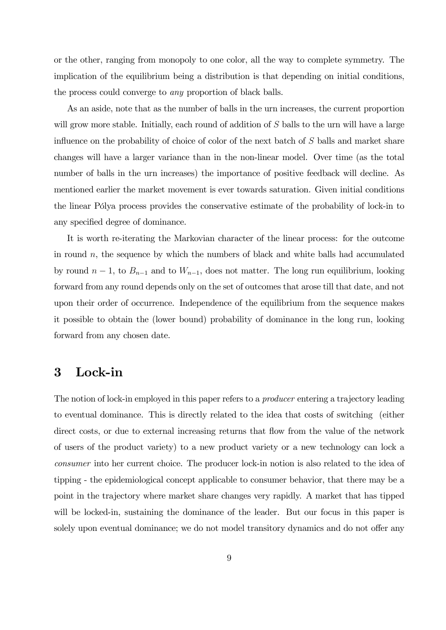or the other, ranging from monopoly to one color, all the way to complete symmetry. The implication of the equilibrium being a distribution is that depending on initial conditions, the process could converge to any proportion of black balls.

As an aside, note that as the number of balls in the urn increases, the current proportion will grow more stable. Initially, each round of addition of S balls to the urn will have a large influence on the probability of choice of color of the next batch of S balls and market share changes will have a larger variance than in the non-linear model. Over time (as the total number of balls in the urn increases) the importance of positive feedback will decline. As mentioned earlier the market movement is ever towards saturation. Given initial conditions the linear Pólya process provides the conservative estimate of the probability of lock-in to any specified degree of dominance.

It is worth re-iterating the Markovian character of the linear process: for the outcome in round  $n$ , the sequence by which the numbers of black and white balls had accumulated by round  $n-1$ , to  $B_{n-1}$  and to  $W_{n-1}$ , does not matter. The long run equilibrium, looking forward from any round depends only on the set of outcomes that arose till that date, and not upon their order of occurrence. Independence of the equilibrium from the sequence makes it possible to obtain the (lower bound) probability of dominance in the long run, looking forward from any chosen date.

### 3 Lock-in

The notion of lock-in employed in this paper refers to a *producer* entering a trajectory leading to eventual dominance. This is directly related to the idea that costs of switching (either direct costs, or due to external increasing returns that flow from the value of the network of users of the product variety) to a new product variety or a new technology can lock a consumer into her current choice. The producer lock-in notion is also related to the idea of tipping - the epidemiological concept applicable to consumer behavior, that there may be a point in the trajectory where market share changes very rapidly. A market that has tipped will be locked-in, sustaining the dominance of the leader. But our focus in this paper is solely upon eventual dominance; we do not model transitory dynamics and do not offer any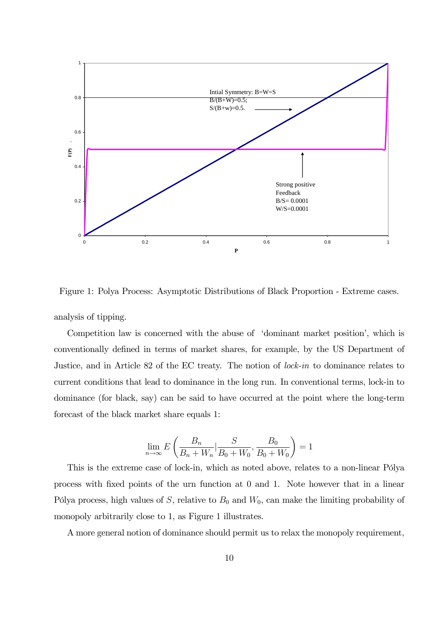

Figure 1: Polya Process: Asymptotic Distributions of Black Proportion - Extreme cases.

analysis of tipping.

Competition law is concerned with the abuse of 'dominant market position', which is conventionally defined in terms of market shares, for example, by the US Department of Justice, and in Article 82 of the EC treaty. The notion of lock-in to dominance relates to current conditions that lead to dominance in the long run. In conventional terms, lock-in to dominance (for black, say) can be said to have occurred at the point where the long-term forecast of the black market share equals 1:

$$
\lim_{n \to \infty} E\left(\frac{B_n}{B_n + W_n} | \frac{S}{B_0 + W_0}, \frac{B_0}{B_0 + W_0}\right) = 1
$$

This is the extreme case of lock-in, which as noted above, relates to a non-linear Pólya process with fixed points of the urn function at 0 and 1. Note however that in a linear Pólya process, high values of S, relative to  $B_0$  and  $W_0$ , can make the limiting probability of monopoly arbitrarily close to 1, as Figure 1 illustrates.

A more general notion of dominance should permit us to relax the monopoly requirement,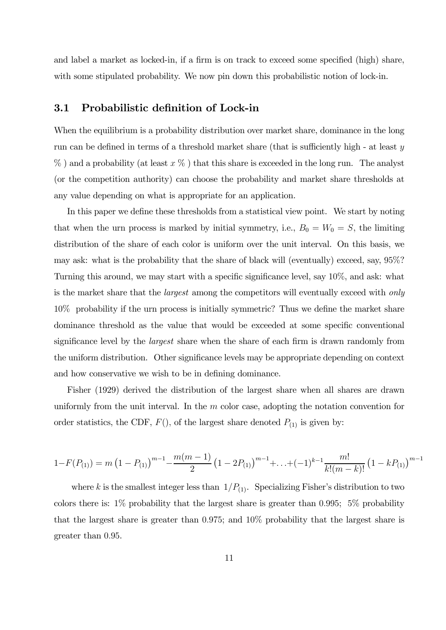and label a market as locked-in, if a firm is on track to exceed some specified (high) share, with some stipulated probability. We now pin down this probabilistic notion of lock-in.

#### 3.1 Probabilistic definition of Lock-in

When the equilibrium is a probability distribution over market share, dominance in the long run can be defined in terms of a threshold market share (that is sufficiently high - at least y  $\%$ ) and a probability (at least  $x \%$ ) that this share is exceeded in the long run. The analyst (or the competition authority) can choose the probability and market share thresholds at any value depending on what is appropriate for an application.

In this paper we define these thresholds from a statistical view point. We start by noting that when the urn process is marked by initial symmetry, i.e.,  $B_0 = W_0 = S$ , the limiting distribution of the share of each color is uniform over the unit interval. On this basis, we may ask: what is the probability that the share of black will (eventually) exceed, say, 95%? Turning this around, we may start with a specific significance level, say 10%, and ask: what is the market share that the *largest* among the competitors will eventually exceed with *only* 10% probability if the urn process is initially symmetric? Thus we define the market share dominance threshold as the value that would be exceeded at some specific conventional significance level by the largest share when the share of each firm is drawn randomly from the uniform distribution. Other significance levels may be appropriate depending on context and how conservative we wish to be in defining dominance.

Fisher (1929) derived the distribution of the largest share when all shares are drawn uniformly from the unit interval. In the  $m$  color case, adopting the notation convention for order statistics, the CDF,  $F()$ , of the largest share denoted  $P_{(1)}$  is given by:

$$
1 - F(P_{(1)}) = m \left(1 - P_{(1)}\right)^{m-1} - \frac{m(m-1)}{2} \left(1 - 2P_{(1)}\right)^{m-1} + \ldots + (-1)^{k-1} \frac{m!}{k!(m-k)!} \left(1 - kP_{(1)}\right)^{m-1}
$$

where k is the smallest integer less than  $1/P_{(1)}$ . Specializing Fisher's distribution to two colors there is: 1% probability that the largest share is greater than 0.995; 5% probability that the largest share is greater than 0.975; and 10% probability that the largest share is greater than 0.95.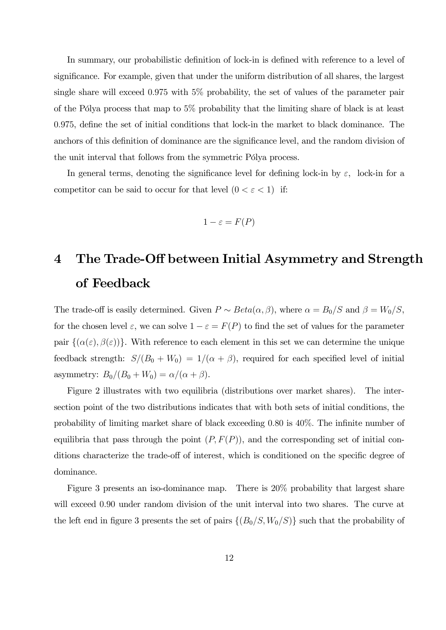In summary, our probabilistic definition of lock-in is defined with reference to a level of significance. For example, given that under the uniform distribution of all shares, the largest single share will exceed 0.975 with 5% probability, the set of values of the parameter pair of the Pólya process that map to 5% probability that the limiting share of black is at least 0.975, define the set of initial conditions that lock-in the market to black dominance. The anchors of this definition of dominance are the significance level, and the random division of the unit interval that follows from the symmetric Pólya process.

In general terms, denoting the significance level for defining lock-in by  $\varepsilon$ , lock-in for a competitor can be said to occur for that level  $(0 < \varepsilon < 1)$  if:

$$
1-\varepsilon = F(P)
$$

# 4 The Trade-Off between Initial Asymmetry and Strength of Feedback

The trade-off is easily determined. Given  $P \sim Beta(\alpha, \beta)$ , where  $\alpha = B_0/S$  and  $\beta = W_0/S$ , for the chosen level  $\varepsilon$ , we can solve  $1 - \varepsilon = F(P)$  to find the set of values for the parameter pair  $\{(\alpha(\varepsilon), \beta(\varepsilon))\}$ . With reference to each element in this set we can determine the unique feedback strength:  $S/(B_0 + W_0) = 1/(\alpha + \beta)$ , required for each specified level of initial asymmetry:  $B_0/(B_0+W_0) = \alpha/(\alpha+\beta)$ .

Figure 2 illustrates with two equilibria (distributions over market shares). The intersection point of the two distributions indicates that with both sets of initial conditions, the probability of limiting market share of black exceeding 0.80 is 40%. The infinite number of equilibria that pass through the point  $(P, F(P))$ , and the corresponding set of initial conditions characterize the trade-off of interest, which is conditioned on the specific degree of dominance.

Figure 3 presents an iso-dominance map. There is 20% probability that largest share will exceed 0.90 under random division of the unit interval into two shares. The curve at the left end in figure 3 presents the set of pairs  $\{(B_0/S, W_0/S)\}\$  such that the probability of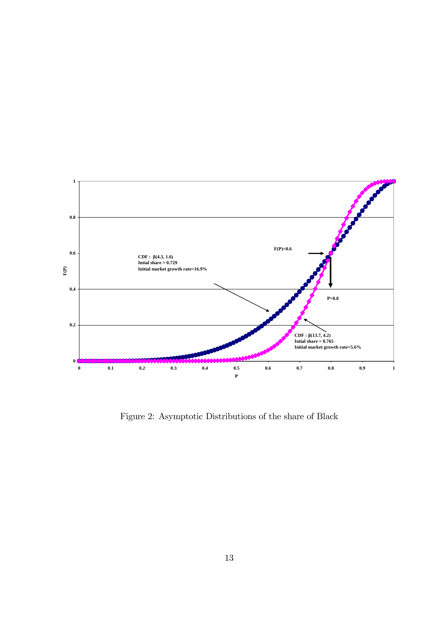

Figure 2: Asymptotic Distributions of the share of Black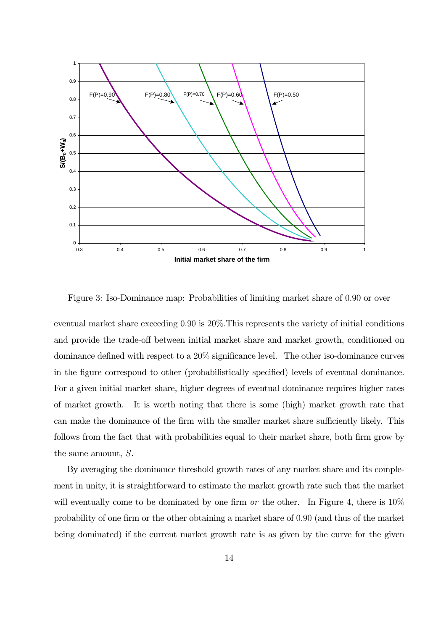

Figure 3: Iso-Dominance map: Probabilities of limiting market share of 0.90 or over

eventual market share exceeding 0.90 is 20%.This represents the variety of initial conditions and provide the trade-off between initial market share and market growth, conditioned on dominance defined with respect to a 20% significance level. The other iso-dominance curves in the figure correspond to other (probabilistically specified) levels of eventual dominance. For a given initial market share, higher degrees of eventual dominance requires higher rates of market growth. It is worth noting that there is some (high) market growth rate that can make the dominance of the firm with the smaller market share sufficiently likely. This follows from the fact that with probabilities equal to their market share, both firm grow by the same amount, S.

By averaging the dominance threshold growth rates of any market share and its complement in unity, it is straightforward to estimate the market growth rate such that the market will eventually come to be dominated by one firm or the other. In Figure 4, there is  $10\%$ probability of one firm or the other obtaining a market share of 0.90 (and thus of the market being dominated) if the current market growth rate is as given by the curve for the given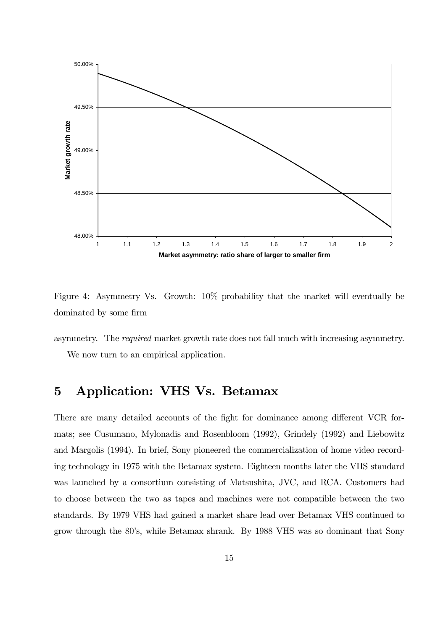

Figure 4: Asymmetry Vs. Growth: 10% probability that the market will eventually be dominated by some firm

asymmetry. The required market growth rate does not fall much with increasing asymmetry. We now turn to an empirical application.

# 5 Application: VHS Vs. Betamax

There are many detailed accounts of the fight for dominance among different VCR formats; see Cusumano, Mylonadis and Rosenbloom (1992), Grindely (1992) and Liebowitz and Margolis (1994). In brief, Sony pioneered the commercialization of home video recording technology in 1975 with the Betamax system. Eighteen months later the VHS standard was launched by a consortium consisting of Matsushita, JVC, and RCA. Customers had to choose between the two as tapes and machines were not compatible between the two standards. By 1979 VHS had gained a market share lead over Betamax VHS continued to grow through the 80's, while Betamax shrank. By 1988 VHS was so dominant that Sony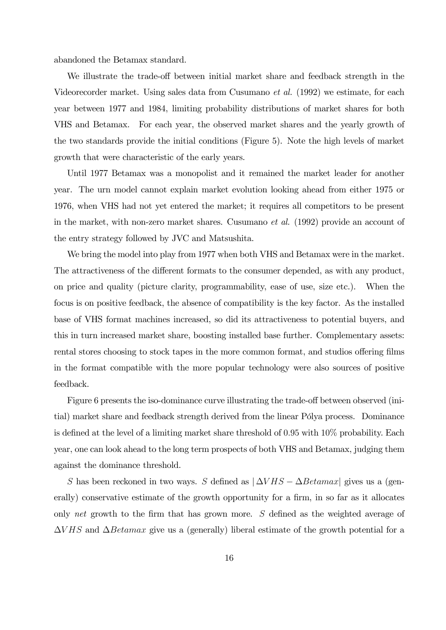abandoned the Betamax standard.

We illustrate the trade-off between initial market share and feedback strength in the Videorecorder market. Using sales data from Cusumano et al. (1992) we estimate, for each year between 1977 and 1984, limiting probability distributions of market shares for both VHS and Betamax. For each year, the observed market shares and the yearly growth of the two standards provide the initial conditions (Figure 5). Note the high levels of market growth that were characteristic of the early years.

Until 1977 Betamax was a monopolist and it remained the market leader for another year. The urn model cannot explain market evolution looking ahead from either 1975 or 1976, when VHS had not yet entered the market; it requires all competitors to be present in the market, with non-zero market shares. Cusumano et al. (1992) provide an account of the entry strategy followed by JVC and Matsushita.

We bring the model into play from 1977 when both VHS and Betamax were in the market. The attractiveness of the different formats to the consumer depended, as with any product, on price and quality (picture clarity, programmability, ease of use, size etc.). When the focus is on positive feedback, the absence of compatibility is the key factor. As the installed base of VHS format machines increased, so did its attractiveness to potential buyers, and this in turn increased market share, boosting installed base further. Complementary assets: rental stores choosing to stock tapes in the more common format, and studios offering films in the format compatible with the more popular technology were also sources of positive feedback.

Figure 6 presents the iso-dominance curve illustrating the trade-off between observed (initial) market share and feedback strength derived from the linear Pólya process. Dominance is defined at the level of a limiting market share threshold of 0.95 with 10% probability. Each year, one can look ahead to the long term prospects of both VHS and Betamax, judging them against the dominance threshold.

S has been reckoned in two ways. S defined as  $|\Delta VHS - \Delta Betamar|$  gives us a (generally) conservative estimate of the growth opportunity for a firm, in so far as it allocates only net growth to the firm that has grown more. S defined as the weighted average of  $\Delta VHS$  and  $\Delta Betamax$  give us a (generally) liberal estimate of the growth potential for a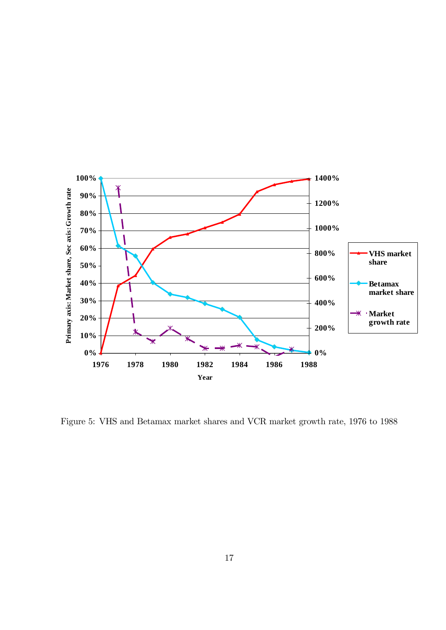

Figure 5: VHS and Betamax market shares and VCR market growth rate, 1976 to 1988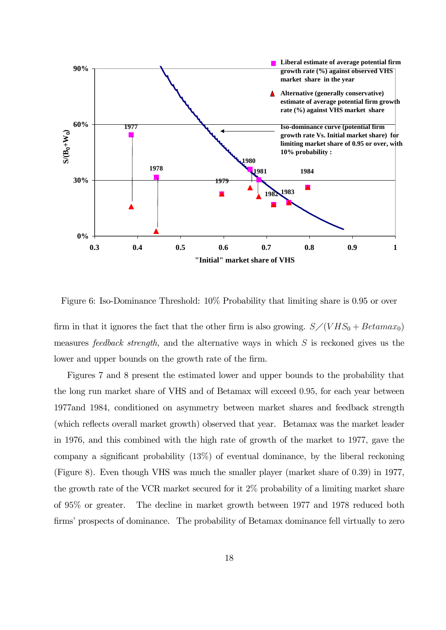

Figure 6: Iso-Dominance Threshold: 10% Probability that limiting share is 0.95 or over

firm in that it ignores the fact that the other firm is also growing.  $S/(VHS_0 + Betamar_0)$ measures *feedback strength*, and the alternative ways in which  $S$  is reckoned gives us the lower and upper bounds on the growth rate of the firm.

Figures 7 and 8 present the estimated lower and upper bounds to the probability that the long run market share of VHS and of Betamax will exceed 0.95, for each year between 1977and 1984, conditioned on asymmetry between market shares and feedback strength (which reflects overall market growth) observed that year. Betamax was the market leader in 1976, and this combined with the high rate of growth of the market to 1977, gave the company a significant probability (13%) of eventual dominance, by the liberal reckoning (Figure 8). Even though VHS was much the smaller player (market share of 0.39) in 1977, the growth rate of the VCR market secured for it 2% probability of a limiting market share of 95% or greater. The decline in market growth between 1977 and 1978 reduced both firms' prospects of dominance. The probability of Betamax dominance fell virtually to zero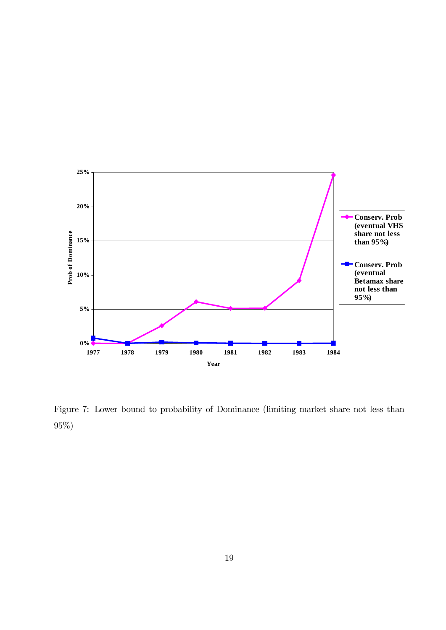

Figure 7: Lower bound to probability of Dominance (limiting market share not less than 95%)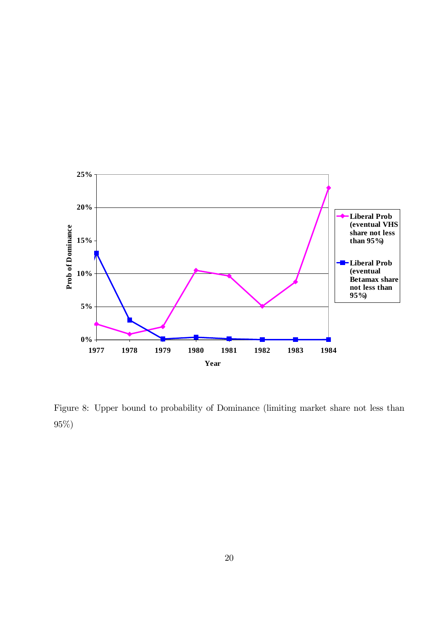

Figure 8: Upper bound to probability of Dominance (limiting market share not less than 95%)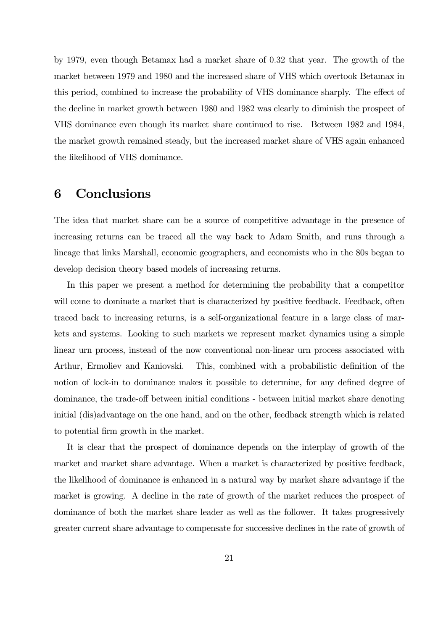by 1979, even though Betamax had a market share of 0.32 that year. The growth of the market between 1979 and 1980 and the increased share of VHS which overtook Betamax in this period, combined to increase the probability of VHS dominance sharply. The effect of the decline in market growth between 1980 and 1982 was clearly to diminish the prospect of VHS dominance even though its market share continued to rise. Between 1982 and 1984, the market growth remained steady, but the increased market share of VHS again enhanced the likelihood of VHS dominance.

### 6 Conclusions

The idea that market share can be a source of competitive advantage in the presence of increasing returns can be traced all the way back to Adam Smith, and runs through a lineage that links Marshall, economic geographers, and economists who in the 80s began to develop decision theory based models of increasing returns.

In this paper we present a method for determining the probability that a competitor will come to dominate a market that is characterized by positive feedback. Feedback, often traced back to increasing returns, is a self-organizational feature in a large class of markets and systems. Looking to such markets we represent market dynamics using a simple linear urn process, instead of the now conventional non-linear urn process associated with Arthur, Ermoliev and Kaniovski. This, combined with a probabilistic definition of the notion of lock-in to dominance makes it possible to determine, for any defined degree of dominance, the trade-off between initial conditions - between initial market share denoting initial (dis)advantage on the one hand, and on the other, feedback strength which is related to potential firm growth in the market.

It is clear that the prospect of dominance depends on the interplay of growth of the market and market share advantage. When a market is characterized by positive feedback, the likelihood of dominance is enhanced in a natural way by market share advantage if the market is growing. A decline in the rate of growth of the market reduces the prospect of dominance of both the market share leader as well as the follower. It takes progressively greater current share advantage to compensate for successive declines in the rate of growth of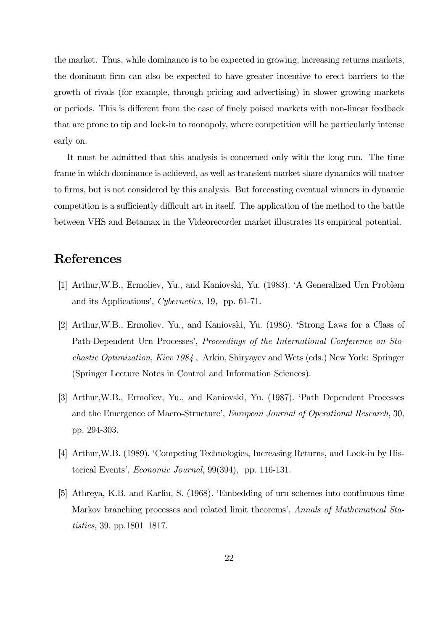the market. Thus, while dominance is to be expected in growing, increasing returns markets, the dominant firm can also be expected to have greater incentive to erect barriers to the growth of rivals (for example, through pricing and advertising) in slower growing markets or periods. This is different from the case of finely poised markets with non-linear feedback that are prone to tip and lock-in to monopoly, where competition will be particularly intense early on.

It must be admitted that this analysis is concerned only with the long run. The time frame in which dominance is achieved, as well as transient market share dynamics will matter to firms, but is not considered by this analysis. But forecasting eventual winners in dynamic competition is a sufficiently difficult art in itself. The application of the method to the battle between VHS and Betamax in the Videorecorder market illustrates its empirical potential.

# References

- [1] Arthur,W.B., Ermoliev, Yu., and Kaniovski, Yu. (1983). 'A Generalized Urn Problem and its Applications', Cybernetics, 19, pp. 61-71.
- [2] Arthur,W.B., Ermoliev, Yu., and Kaniovski, Yu. (1986). 'Strong Laws for a Class of Path-Dependent Urn Processes', Proceedings of the International Conference on Stochastic Optimization, Kiev 1984 , Arkin, Shiryayev and Wets (eds.) New York: Springer (Springer Lecture Notes in Control and Information Sciences).
- [3] Arthur,W.B., Ermoliev, Yu., and Kaniovski, Yu. (1987). 'Path Dependent Processes and the Emergence of Macro-Structure', European Journal of Operational Research, 30, pp. 294-303.
- [4] Arthur,W.B. (1989). 'Competing Technologies, Increasing Returns, and Lock-in by Historical Events', Economic Journal, 99(394), pp. 116-131.
- [5] Athreya, K.B. and Karlin, S. (1968). 'Embedding of urn schemes into continuous time Markov branching processes and related limit theorems', Annals of Mathematical Statistics, 39, pp.1801—1817.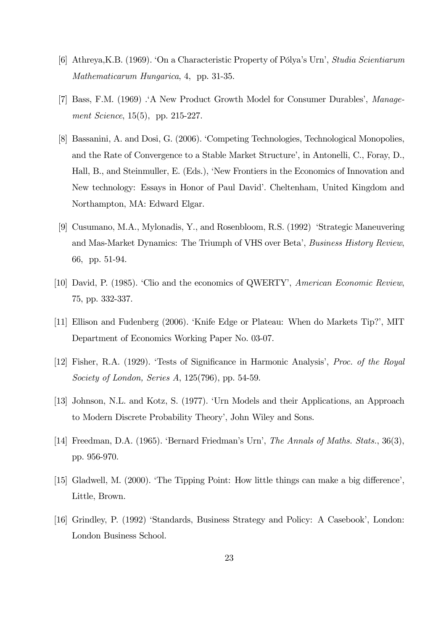- [6] Athreya,K.B. (1969). 'On a Characteristic Property of Pólya's Urn', Studia Scientiarum Mathematicarum Hungarica, 4, pp. 31-35.
- [7] Bass, F.M. (1969) .'A New Product Growth Model for Consumer Durables', Management Science, 15(5), pp. 215-227.
- [8] Bassanini, A. and Dosi, G. (2006). 'Competing Technologies, Technological Monopolies, and the Rate of Convergence to a Stable Market Structure', in Antonelli, C., Foray, D., Hall, B., and Steinmuller, E. (Eds.), 'New Frontiers in the Economics of Innovation and New technology: Essays in Honor of Paul David'. Cheltenham, United Kingdom and Northampton, MA: Edward Elgar.
- [9] Cusumano, M.A., Mylonadis, Y., and Rosenbloom, R.S. (1992) 'Strategic Maneuvering and Mas-Market Dynamics: The Triumph of VHS over Beta', Business History Review, 66, pp. 51-94.
- [10] David, P. (1985). 'Clio and the economics of QWERTY', American Economic Review, 75, pp. 332-337.
- [11] Ellison and Fudenberg (2006). 'Knife Edge or Plateau: When do Markets Tip?', MIT Department of Economics Working Paper No. 03-07.
- [12] Fisher, R.A. (1929). 'Tests of Significance in Harmonic Analysis', Proc. of the Royal Society of London, Series A, 125(796), pp. 54-59.
- [13] Johnson, N.L. and Kotz, S. (1977). 'Urn Models and their Applications, an Approach to Modern Discrete Probability Theory', John Wiley and Sons.
- [14] Freedman, D.A. (1965). 'Bernard Friedman's Urn', The Annals of Maths. Stats., 36(3), pp. 956-970.
- [15] Gladwell, M. (2000). 'The Tipping Point: How little things can make a big difference', Little, Brown.
- [16] Grindley, P. (1992) 'Standards, Business Strategy and Policy: A Casebook', London: London Business School.